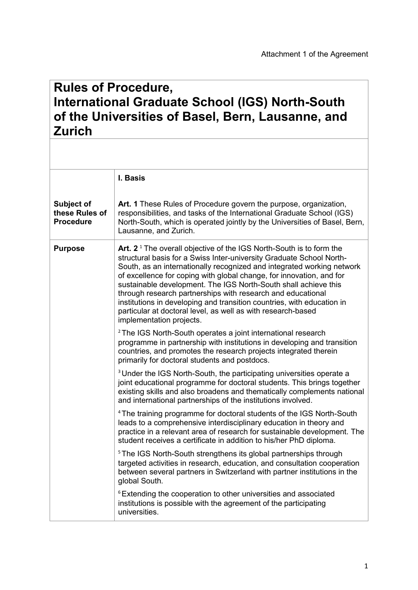## **Rules of Procedure, International Graduate School (IGS) North-South of the Universities of Basel, Bern, Lausanne, and Zurich**

|                                                  | I. Basis                                                                                                                                                                                                                                                                                                                                                                                                                                                                                                                                                                                                |
|--------------------------------------------------|---------------------------------------------------------------------------------------------------------------------------------------------------------------------------------------------------------------------------------------------------------------------------------------------------------------------------------------------------------------------------------------------------------------------------------------------------------------------------------------------------------------------------------------------------------------------------------------------------------|
| Subject of<br>these Rules of<br><b>Procedure</b> | Art. 1 These Rules of Procedure govern the purpose, organization,<br>responsibilities, and tasks of the International Graduate School (IGS)<br>North-South, which is operated jointly by the Universities of Basel, Bern,<br>Lausanne, and Zurich.                                                                                                                                                                                                                                                                                                                                                      |
| <b>Purpose</b>                                   | Art. $21$ The overall objective of the IGS North-South is to form the<br>structural basis for a Swiss Inter-university Graduate School North-<br>South, as an internationally recognized and integrated working network<br>of excellence for coping with global change, for innovation, and for<br>sustainable development. The IGS North-South shall achieve this<br>through research partnerships with research and educational<br>institutions in developing and transition countries, with education in<br>particular at doctoral level, as well as with research-based<br>implementation projects. |
|                                                  | <sup>2</sup> The IGS North-South operates a joint international research<br>programme in partnership with institutions in developing and transition<br>countries, and promotes the research projects integrated therein<br>primarily for doctoral students and postdocs.                                                                                                                                                                                                                                                                                                                                |
|                                                  | <sup>3</sup> Under the IGS North-South, the participating universities operate a<br>joint educational programme for doctoral students. This brings together<br>existing skills and also broadens and thematically complements national<br>and international partnerships of the institutions involved.                                                                                                                                                                                                                                                                                                  |
|                                                  | <sup>4</sup> The training programme for doctoral students of the IGS North-South<br>leads to a comprehensive interdisciplinary education in theory and<br>practice in a relevant area of research for sustainable development. The<br>student receives a certificate in addition to his/her PhD diploma.                                                                                                                                                                                                                                                                                                |
|                                                  | <sup>5</sup> The IGS North-South strengthens its global partnerships through<br>targeted activities in research, education, and consultation cooperation<br>between several partners in Switzerland with partner institutions in the<br>global South.                                                                                                                                                                                                                                                                                                                                                   |
|                                                  | <sup>6</sup> Extending the cooperation to other universities and associated<br>institutions is possible with the agreement of the participating<br>universities.                                                                                                                                                                                                                                                                                                                                                                                                                                        |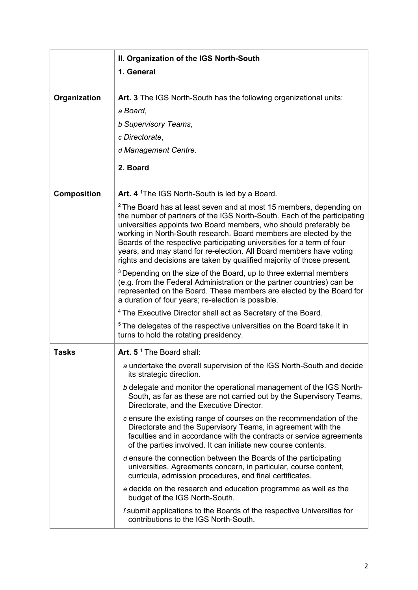|                    | II. Organization of the IGS North-South                                                                                                                                                                                                                                                                                                                                                                                                                                                                                         |
|--------------------|---------------------------------------------------------------------------------------------------------------------------------------------------------------------------------------------------------------------------------------------------------------------------------------------------------------------------------------------------------------------------------------------------------------------------------------------------------------------------------------------------------------------------------|
|                    | 1. General                                                                                                                                                                                                                                                                                                                                                                                                                                                                                                                      |
|                    |                                                                                                                                                                                                                                                                                                                                                                                                                                                                                                                                 |
| Organization       | Art. 3 The IGS North-South has the following organizational units:                                                                                                                                                                                                                                                                                                                                                                                                                                                              |
|                    | a Board,                                                                                                                                                                                                                                                                                                                                                                                                                                                                                                                        |
|                    | <b>b Supervisory Teams,</b>                                                                                                                                                                                                                                                                                                                                                                                                                                                                                                     |
|                    | c Directorate,                                                                                                                                                                                                                                                                                                                                                                                                                                                                                                                  |
|                    | d Management Centre.                                                                                                                                                                                                                                                                                                                                                                                                                                                                                                            |
|                    | 2. Board                                                                                                                                                                                                                                                                                                                                                                                                                                                                                                                        |
| <b>Composition</b> | Art. 4 <sup>1</sup> The IGS North-South is led by a Board.                                                                                                                                                                                                                                                                                                                                                                                                                                                                      |
|                    | <sup>2</sup> The Board has at least seven and at most 15 members, depending on<br>the number of partners of the IGS North-South. Each of the participating<br>universities appoints two Board members, who should preferably be<br>working in North-South research. Board members are elected by the<br>Boards of the respective participating universities for a term of four<br>years, and may stand for re-election. All Board members have voting<br>rights and decisions are taken by qualified majority of those present. |
|                    | <sup>3</sup> Depending on the size of the Board, up to three external members<br>(e.g. from the Federal Administration or the partner countries) can be<br>represented on the Board. These members are elected by the Board for<br>a duration of four years; re-election is possible.                                                                                                                                                                                                                                           |
|                    | <sup>4</sup> The Executive Director shall act as Secretary of the Board.                                                                                                                                                                                                                                                                                                                                                                                                                                                        |
|                    | <sup>5</sup> The delegates of the respective universities on the Board take it in<br>turns to hold the rotating presidency.                                                                                                                                                                                                                                                                                                                                                                                                     |
| <b>Tasks</b>       | Art. 5 <sup>1</sup> The Board shall:                                                                                                                                                                                                                                                                                                                                                                                                                                                                                            |
|                    | a undertake the overall supervision of the IGS North-South and decide<br>its strategic direction.                                                                                                                                                                                                                                                                                                                                                                                                                               |
|                    | b delegate and monitor the operational management of the IGS North-<br>South, as far as these are not carried out by the Supervisory Teams,<br>Directorate, and the Executive Director.                                                                                                                                                                                                                                                                                                                                         |
|                    | c ensure the existing range of courses on the recommendation of the<br>Directorate and the Supervisory Teams, in agreement with the<br>faculties and in accordance with the contracts or service agreements<br>of the parties involved. It can initiate new course contents.                                                                                                                                                                                                                                                    |
|                    | d ensure the connection between the Boards of the participating<br>universities. Agreements concern, in particular, course content,<br>curricula, admission procedures, and final certificates.                                                                                                                                                                                                                                                                                                                                 |
|                    | e decide on the research and education programme as well as the<br>budget of the IGS North-South.                                                                                                                                                                                                                                                                                                                                                                                                                               |
|                    | f submit applications to the Boards of the respective Universities for<br>contributions to the IGS North-South.                                                                                                                                                                                                                                                                                                                                                                                                                 |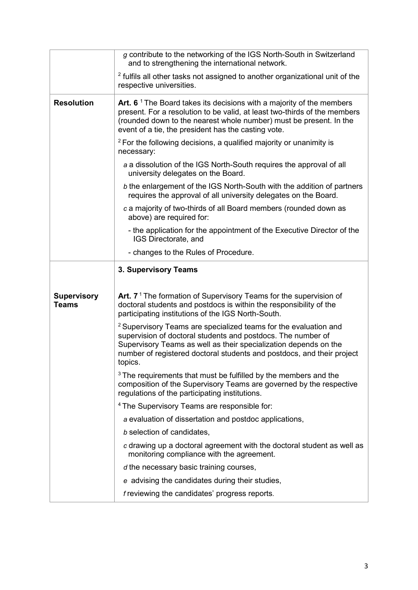|                                    | g contribute to the networking of the IGS North-South in Switzerland<br>and to strengthening the international network.                                                                                                                                                                                 |
|------------------------------------|---------------------------------------------------------------------------------------------------------------------------------------------------------------------------------------------------------------------------------------------------------------------------------------------------------|
|                                    | <sup>2</sup> fulfils all other tasks not assigned to another organizational unit of the<br>respective universities.                                                                                                                                                                                     |
| <b>Resolution</b>                  | Art. 6 <sup><math>1</math></sup> The Board takes its decisions with a majority of the members<br>present. For a resolution to be valid, at least two-thirds of the members<br>(rounded down to the nearest whole number) must be present. In the<br>event of a tie, the president has the casting vote. |
|                                    | $2$ For the following decisions, a qualified majority or unanimity is<br>necessary:                                                                                                                                                                                                                     |
|                                    | a a dissolution of the IGS North-South requires the approval of all<br>university delegates on the Board.                                                                                                                                                                                               |
|                                    | b the enlargement of the IGS North-South with the addition of partners<br>requires the approval of all university delegates on the Board.                                                                                                                                                               |
|                                    | c a majority of two-thirds of all Board members (rounded down as<br>above) are required for:                                                                                                                                                                                                            |
|                                    | - the application for the appointment of the Executive Director of the<br>IGS Directorate, and                                                                                                                                                                                                          |
|                                    | - changes to the Rules of Procedure.                                                                                                                                                                                                                                                                    |
|                                    | 3. Supervisory Teams                                                                                                                                                                                                                                                                                    |
| <b>Supervisory</b><br><b>Teams</b> | Art. $71$ The formation of Supervisory Teams for the supervision of<br>doctoral students and postdocs is within the responsibility of the<br>participating institutions of the IGS North-South.                                                                                                         |
|                                    | <sup>2</sup> Supervisory Teams are specialized teams for the evaluation and<br>supervision of doctoral students and postdocs. The number of<br>Supervisory Teams as well as their specialization depends on the<br>number of registered doctoral students and postdocs, and their project<br>topics.    |
|                                    | <sup>3</sup> The requirements that must be fulfilled by the members and the<br>composition of the Supervisory Teams are governed by the respective<br>regulations of the participating institutions.                                                                                                    |
|                                    | <sup>4</sup> The Supervisory Teams are responsible for:                                                                                                                                                                                                                                                 |
|                                    | a evaluation of dissertation and postdoc applications,                                                                                                                                                                                                                                                  |
|                                    | b selection of candidates,                                                                                                                                                                                                                                                                              |
|                                    | c drawing up a doctoral agreement with the doctoral student as well as<br>monitoring compliance with the agreement.                                                                                                                                                                                     |
|                                    | d the necessary basic training courses,                                                                                                                                                                                                                                                                 |
|                                    | e advising the candidates during their studies,                                                                                                                                                                                                                                                         |
|                                    | f reviewing the candidates' progress reports.                                                                                                                                                                                                                                                           |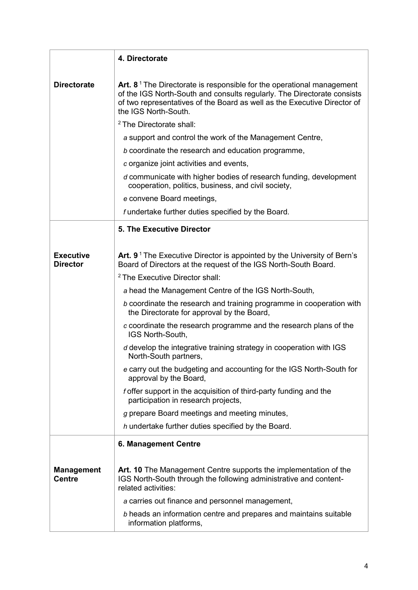|                                     | 4. Directorate                                                                                                                                                                                                                                         |
|-------------------------------------|--------------------------------------------------------------------------------------------------------------------------------------------------------------------------------------------------------------------------------------------------------|
|                                     |                                                                                                                                                                                                                                                        |
| <b>Directorate</b>                  | Art. $81$ The Directorate is responsible for the operational management<br>of the IGS North-South and consults regularly. The Directorate consists<br>of two representatives of the Board as well as the Executive Director of<br>the IGS North-South. |
|                                     | <sup>2</sup> The Directorate shall:                                                                                                                                                                                                                    |
|                                     | a support and control the work of the Management Centre,                                                                                                                                                                                               |
|                                     | b coordinate the research and education programme,                                                                                                                                                                                                     |
|                                     | c organize joint activities and events,                                                                                                                                                                                                                |
|                                     | d communicate with higher bodies of research funding, development<br>cooperation, politics, business, and civil society,                                                                                                                               |
|                                     | e convene Board meetings,                                                                                                                                                                                                                              |
|                                     | f undertake further duties specified by the Board.                                                                                                                                                                                                     |
|                                     | <b>5. The Executive Director</b>                                                                                                                                                                                                                       |
|                                     |                                                                                                                                                                                                                                                        |
| <b>Executive</b><br><b>Director</b> | Art. $91$ The Executive Director is appointed by the University of Bern's<br>Board of Directors at the request of the IGS North-South Board.                                                                                                           |
|                                     | <sup>2</sup> The Executive Director shall:                                                                                                                                                                                                             |
|                                     | a head the Management Centre of the IGS North-South,                                                                                                                                                                                                   |
|                                     | b coordinate the research and training programme in cooperation with<br>the Directorate for approval by the Board,                                                                                                                                     |
|                                     | c coordinate the research programme and the research plans of the<br>IGS North-South,                                                                                                                                                                  |
|                                     | d develop the integrative training strategy in cooperation with IGS<br>North-South partners,                                                                                                                                                           |
|                                     | e carry out the budgeting and accounting for the IGS North-South for<br>approval by the Board,                                                                                                                                                         |
|                                     | f offer support in the acquisition of third-party funding and the<br>participation in research projects,                                                                                                                                               |
|                                     | g prepare Board meetings and meeting minutes,                                                                                                                                                                                                          |
|                                     | h undertake further duties specified by the Board.                                                                                                                                                                                                     |
|                                     | <b>6. Management Centre</b>                                                                                                                                                                                                                            |
|                                     |                                                                                                                                                                                                                                                        |
| <b>Management</b><br><b>Centre</b>  | Art. 10 The Management Centre supports the implementation of the<br>IGS North-South through the following administrative and content-<br>related activities:                                                                                           |
|                                     | a carries out finance and personnel management,                                                                                                                                                                                                        |
|                                     | b heads an information centre and prepares and maintains suitable<br>information platforms,                                                                                                                                                            |